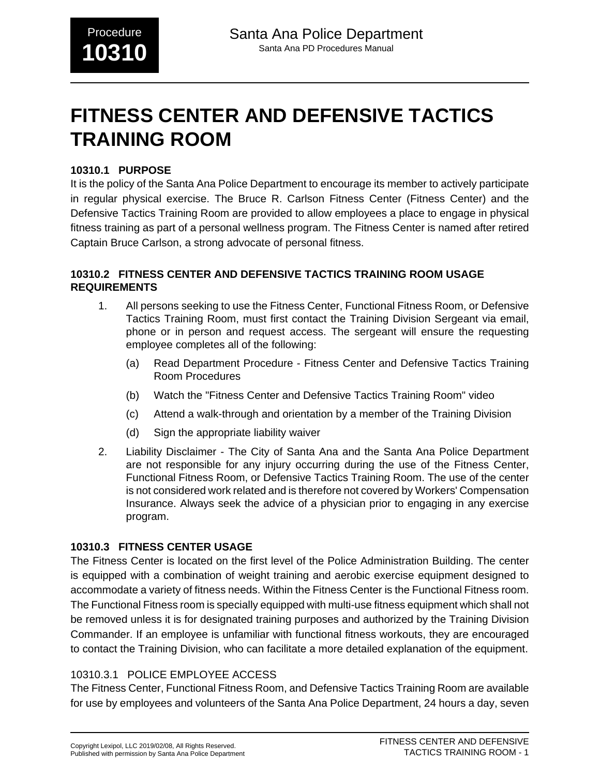# **FITNESS CENTER AND DEFENSIVE TACTICS TRAINING ROOM**

#### **10310.1 PURPOSE**

It is the policy of the Santa Ana Police Department to encourage its member to actively participate in regular physical exercise. The Bruce R. Carlson Fitness Center (Fitness Center) and the Defensive Tactics Training Room are provided to allow employees a place to engage in physical fitness training as part of a personal wellness program. The Fitness Center is named after retired Captain Bruce Carlson, a strong advocate of personal fitness.

#### **10310.2 FITNESS CENTER AND DEFENSIVE TACTICS TRAINING ROOM USAGE REQUIREMENTS**

- 1. All persons seeking to use the Fitness Center, Functional Fitness Room, or Defensive Tactics Training Room, must first contact the Training Division Sergeant via email, phone or in person and request access. The sergeant will ensure the requesting employee completes all of the following:
	- (a) Read Department Procedure Fitness Center and Defensive Tactics Training Room Procedures
	- (b) Watch the "Fitness Center and Defensive Tactics Training Room" video
	- (c) Attend a walk-through and orientation by a member of the Training Division
	- (d) Sign the appropriate liability waiver
- 2. Liability Disclaimer The City of Santa Ana and the Santa Ana Police Department are not responsible for any injury occurring during the use of the Fitness Center, Functional Fitness Room, or Defensive Tactics Training Room. The use of the center is not considered work related and is therefore not covered by Workers' Compensation Insurance. Always seek the advice of a physician prior to engaging in any exercise program.

## **10310.3 FITNESS CENTER USAGE**

The Fitness Center is located on the first level of the Police Administration Building. The center is equipped with a combination of weight training and aerobic exercise equipment designed to accommodate a variety of fitness needs. Within the Fitness Center is the Functional Fitness room. The Functional Fitness room is specially equipped with multi-use fitness equipment which shall not be removed unless it is for designated training purposes and authorized by the Training Division Commander. If an employee is unfamiliar with functional fitness workouts, they are encouraged to contact the Training Division, who can facilitate a more detailed explanation of the equipment.

## 10310.3.1 POLICE EMPLOYEE ACCESS

The Fitness Center, Functional Fitness Room, and Defensive Tactics Training Room are available for use by employees and volunteers of the Santa Ana Police Department, 24 hours a day, seven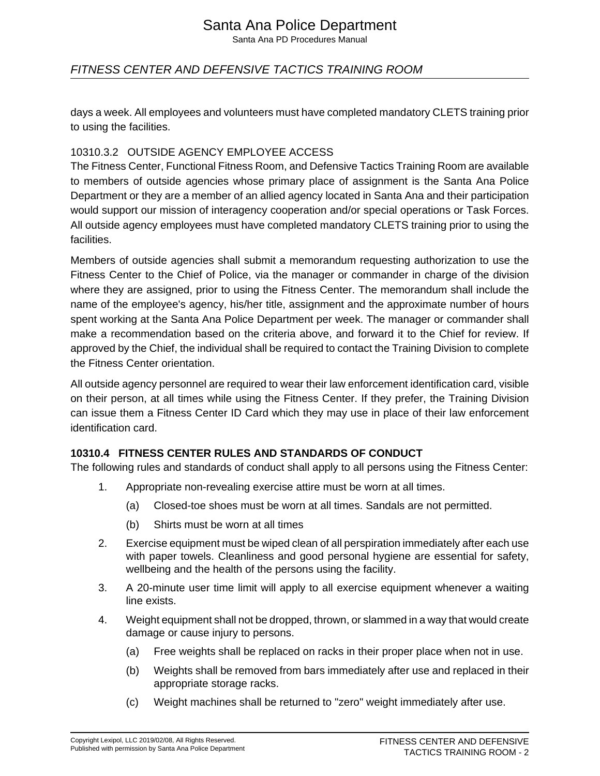# Santa Ana Police Department

Santa Ana PD Procedures Manual

# FITNESS CENTER AND DEFENSIVE TACTICS TRAINING ROOM

days a week. All employees and volunteers must have completed mandatory CLETS training prior to using the facilities.

#### 10310.3.2 OUTSIDE AGENCY EMPLOYEE ACCESS

The Fitness Center, Functional Fitness Room, and Defensive Tactics Training Room are available to members of outside agencies whose primary place of assignment is the Santa Ana Police Department or they are a member of an allied agency located in Santa Ana and their participation would support our mission of interagency cooperation and/or special operations or Task Forces. All outside agency employees must have completed mandatory CLETS training prior to using the facilities.

Members of outside agencies shall submit a memorandum requesting authorization to use the Fitness Center to the Chief of Police, via the manager or commander in charge of the division where they are assigned, prior to using the Fitness Center. The memorandum shall include the name of the employee's agency, his/her title, assignment and the approximate number of hours spent working at the Santa Ana Police Department per week. The manager or commander shall make a recommendation based on the criteria above, and forward it to the Chief for review. If approved by the Chief, the individual shall be required to contact the Training Division to complete the Fitness Center orientation.

All outside agency personnel are required to wear their law enforcement identification card, visible on their person, at all times while using the Fitness Center. If they prefer, the Training Division can issue them a Fitness Center ID Card which they may use in place of their law enforcement identification card.

#### **10310.4 FITNESS CENTER RULES AND STANDARDS OF CONDUCT**

The following rules and standards of conduct shall apply to all persons using the Fitness Center:

- 1. Appropriate non-revealing exercise attire must be worn at all times.
	- (a) Closed-toe shoes must be worn at all times. Sandals are not permitted.
	- (b) Shirts must be worn at all times
- 2. Exercise equipment must be wiped clean of all perspiration immediately after each use with paper towels. Cleanliness and good personal hygiene are essential for safety, wellbeing and the health of the persons using the facility.
- 3. A 20-minute user time limit will apply to all exercise equipment whenever a waiting line exists.
- 4. Weight equipment shall not be dropped, thrown, or slammed in a way that would create damage or cause injury to persons.
	- (a) Free weights shall be replaced on racks in their proper place when not in use.
	- (b) Weights shall be removed from bars immediately after use and replaced in their appropriate storage racks.
	- (c) Weight machines shall be returned to "zero" weight immediately after use.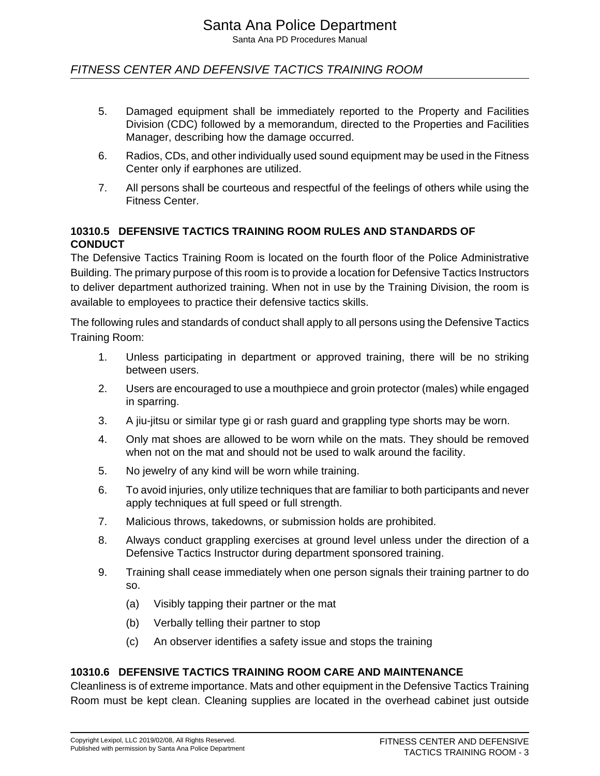# FITNESS CENTER AND DEFENSIVE TACTICS TRAINING ROOM

- 5. Damaged equipment shall be immediately reported to the Property and Facilities Division (CDC) followed by a memorandum, directed to the Properties and Facilities Manager, describing how the damage occurred.
- 6. Radios, CDs, and other individually used sound equipment may be used in the Fitness Center only if earphones are utilized.
- 7. All persons shall be courteous and respectful of the feelings of others while using the Fitness Center.

#### **10310.5 DEFENSIVE TACTICS TRAINING ROOM RULES AND STANDARDS OF CONDUCT**

The Defensive Tactics Training Room is located on the fourth floor of the Police Administrative Building. The primary purpose of this room is to provide a location for Defensive Tactics Instructors to deliver department authorized training. When not in use by the Training Division, the room is available to employees to practice their defensive tactics skills.

The following rules and standards of conduct shall apply to all persons using the Defensive Tactics Training Room:

- 1. Unless participating in department or approved training, there will be no striking between users.
- 2. Users are encouraged to use a mouthpiece and groin protector (males) while engaged in sparring.
- 3. A jiu-jitsu or similar type gi or rash guard and grappling type shorts may be worn.
- 4. Only mat shoes are allowed to be worn while on the mats. They should be removed when not on the mat and should not be used to walk around the facility.
- 5. No jewelry of any kind will be worn while training.
- 6. To avoid injuries, only utilize techniques that are familiar to both participants and never apply techniques at full speed or full strength.
- 7. Malicious throws, takedowns, or submission holds are prohibited.
- 8. Always conduct grappling exercises at ground level unless under the direction of a Defensive Tactics Instructor during department sponsored training.
- 9. Training shall cease immediately when one person signals their training partner to do so.
	- (a) Visibly tapping their partner or the mat
	- (b) Verbally telling their partner to stop
	- (c) An observer identifies a safety issue and stops the training

#### **10310.6 DEFENSIVE TACTICS TRAINING ROOM CARE AND MAINTENANCE**

Cleanliness is of extreme importance. Mats and other equipment in the Defensive Tactics Training Room must be kept clean. Cleaning supplies are located in the overhead cabinet just outside